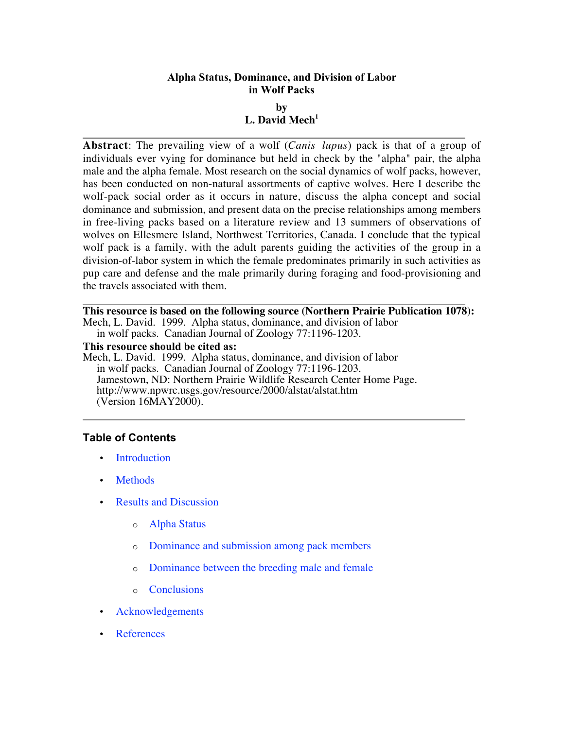# **Alpha Status, Dominance, and Division of Labor in Wolf Packs by** L. David Mech<sup>1</sup>

**Abstract**: The prevailing view of a wolf (*Canis lupus*) pack is that of a group of individuals ever vying for dominance but held in check by the "alpha" pair, the alpha male and the alpha female. Most research on the social dynamics of wolf packs, however, has been conducted on non-natural assortments of captive wolves. Here I describe the wolf-pack social order as it occurs in nature, discuss the alpha concept and social dominance and submission, and present data on the precise relationships among members in free-living packs based on a literature review and 13 summers of observations of wolves on Ellesmere Island, Northwest Territories, Canada. I conclude that the typical wolf pack is a family, with the adult parents guiding the activities of the group in a division-of-labor system in which the female predominates primarily in such activities as pup care and defense and the male primarily during foraging and food-provisioning and the travels associated with them.

**This resource is based on the following source (Northern Prairie Publication 1078):** Mech, L. David. 1999. Alpha status, dominance, and division of labor in wolf packs. Canadian Journal of Zoology 77:1196-1203.

**This resource should be cited as:**

Mech, L. David. 1999. Alpha status, dominance, and division of labor in wolf packs. Canadian Journal of Zoology 77:1196-1203. Jamestown, ND: Northern Prairie Wildlife Research Center Home Page. http://www.npwrc.usgs.gov/resource/2000/alstat/alstat.htm (Version 16MAY2000).

# **Table of Contents**

**Introduction** 

**Methods** 

Results and Discussion

- o Alpha Status
- o Dominance and submission among pack members
- o Dominance between the breeding male and female
- o Conclusions

Acknowledgements

References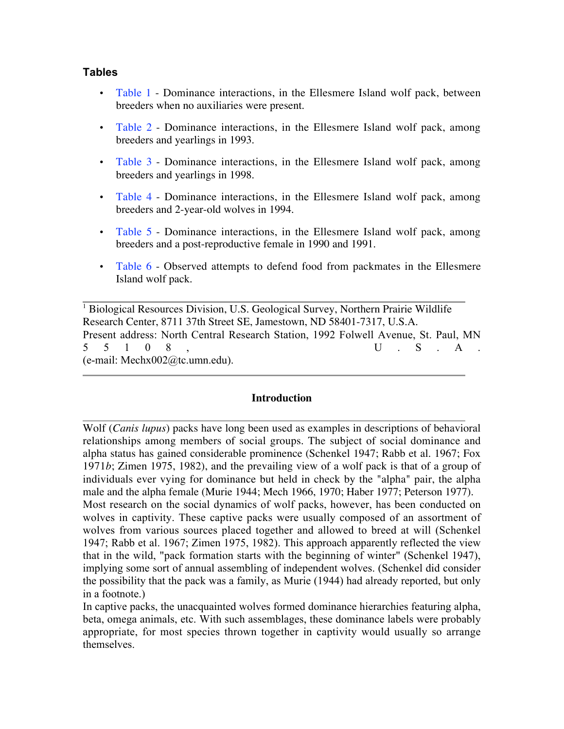### **Tables**

Table 1 - Dominance interactions, in the Ellesmere Island wolf pack, between breeders when no auxiliaries were present.

Table 2 - Dominance interactions, in the Ellesmere Island wolf pack, among breeders and yearlings in 1993.

Table 3 - Dominance interactions, in the Ellesmere Island wolf pack, among breeders and yearlings in 1998.

Table 4 - Dominance interactions, in the Ellesmere Island wolf pack, among breeders and 2-year-old wolves in 1994.

Table 5 - Dominance interactions, in the Ellesmere Island wolf pack, among breeders and a post-reproductive female in 1990 and 1991.

Table 6 - Observed attempts to defend food from packmates in the Ellesmere Island wolf pack.

<sup>1</sup> Biological Resources Division, U.S. Geological Survey, Northern Prairie Wildlife Research Center, 8711 37th Street SE, Jamestown, ND 58401-7317, U.S.A. Present address: North Central Research Station, 1992 Folwell Avenue, St. Paul, MN  $5 \t 5 \t 1 \t 0 \t 8$ ,  $U \t S \t A$ . (e-mail: Mechx002@tc.umn.edu).

#### **Introduction**

Wolf (*Canis lupus*) packs have long been used as examples in descriptions of behavioral relationships among members of social groups. The subject of social dominance and alpha status has gained considerable prominence (Schenkel 1947; Rabb et al. 1967; Fox 1971*b*; Zimen 1975, 1982), and the prevailing view of a wolf pack is that of a group of individuals ever vying for dominance but held in check by the "alpha" pair, the alpha male and the alpha female (Murie 1944; Mech 1966, 1970; Haber 1977; Peterson 1977). Most research on the social dynamics of wolf packs, however, has been conducted on wolves in captivity. These captive packs were usually composed of an assortment of wolves from various sources placed together and allowed to breed at will (Schenkel 1947; Rabb et al. 1967; Zimen 1975, 1982). This approach apparently reflected the view that in the wild, "pack formation starts with the beginning of winter" (Schenkel 1947), implying some sort of annual assembling of independent wolves. (Schenkel did consider the possibility that the pack was a family, as Murie (1944) had already reported, but only in a footnote.)

In captive packs, the unacquainted wolves formed dominance hierarchies featuring alpha, beta, omega animals, etc. With such assemblages, these dominance labels were probably appropriate, for most species thrown together in captivity would usually so arrange themselves.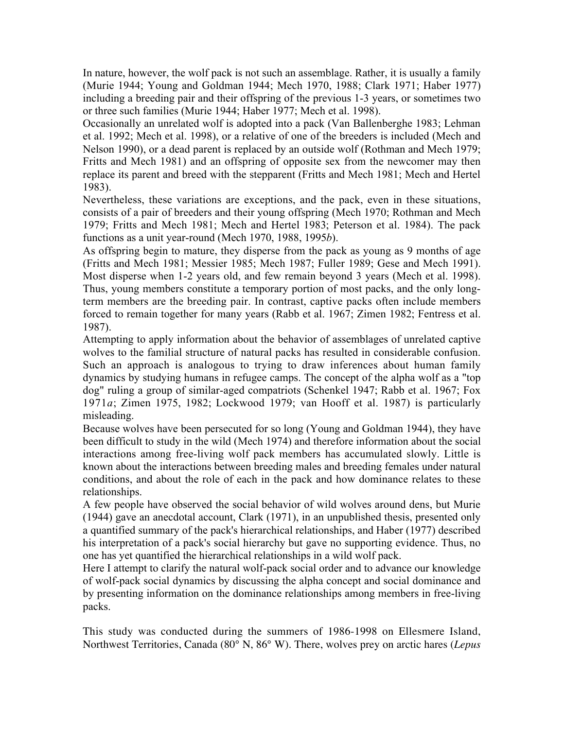In nature, however, the wolf pack is not such an assemblage. Rather, it is usually a family (Murie 1944; Young and Goldman 1944; Mech 1970, 1988; Clark 1971; Haber 1977) including a breeding pair and their offspring of the previous 1-3 years, or sometimes two or three such families (Murie 1944; Haber 1977; Mech et al. 1998).

Occasionally an unrelated wolf is adopted into a pack (Van Ballenberghe 1983; Lehman et al. 1992; Mech et al. 1998), or a relative of one of the breeders is included (Mech and Nelson 1990), or a dead parent is replaced by an outside wolf (Rothman and Mech 1979; Fritts and Mech 1981) and an offspring of opposite sex from the newcomer may then replace its parent and breed with the stepparent (Fritts and Mech 1981; Mech and Hertel 1983).

Nevertheless, these variations are exceptions, and the pack, even in these situations, consists of a pair of breeders and their young offspring (Mech 1970; Rothman and Mech 1979; Fritts and Mech 1981; Mech and Hertel 1983; Peterson et al. 1984). The pack functions as a unit year-round (Mech 1970, 1988, 1995*b*).

As offspring begin to mature, they disperse from the pack as young as 9 months of age (Fritts and Mech 1981; Messier 1985; Mech 1987; Fuller 1989; Gese and Mech 1991). Most disperse when 1-2 years old, and few remain beyond 3 years (Mech et al. 1998). Thus, young members constitute a temporary portion of most packs, and the only longterm members are the breeding pair. In contrast, captive packs often include members forced to remain together for many years (Rabb et al. 1967; Zimen 1982; Fentress et al. 1987).

Attempting to apply information about the behavior of assemblages of unrelated captive wolves to the familial structure of natural packs has resulted in considerable confusion. Such an approach is analogous to trying to draw inferences about human family dynamics by studying humans in refugee camps. The concept of the alpha wolf as a "top dog" ruling a group of similar-aged compatriots (Schenkel 1947; Rabb et al. 1967; Fox 1971*a*; Zimen 1975, 1982; Lockwood 1979; van Hooff et al. 1987) is particularly misleading.

Because wolves have been persecuted for so long (Young and Goldman 1944), they have been difficult to study in the wild (Mech 1974) and therefore information about the social interactions among free-living wolf pack members has accumulated slowly. Little is known about the interactions between breeding males and breeding females under natural conditions, and about the role of each in the pack and how dominance relates to these relationships.

A few people have observed the social behavior of wild wolves around dens, but Murie (1944) gave an anecdotal account, Clark (1971), in an unpublished thesis, presented only a quantified summary of the pack's hierarchical relationships, and Haber (1977) described his interpretation of a pack's social hierarchy but gave no supporting evidence. Thus, no one has yet quantified the hierarchical relationships in a wild wolf pack.

Here I attempt to clarify the natural wolf-pack social order and to advance our knowledge of wolf-pack social dynamics by discussing the alpha concept and social dominance and by presenting information on the dominance relationships among members in free-living packs.

This study was conducted during the summers of 1986-1998 on Ellesmere Island, Northwest Territories, Canada (80° N, 86° W). There, wolves prey on arctic hares (*Lepus*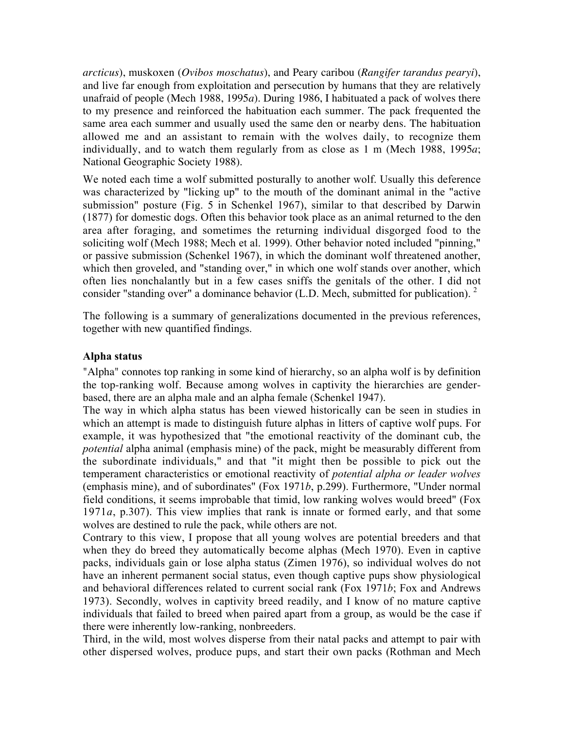*arcticus*), muskoxen (*Ovibos moschatus*), and Peary caribou (*Rangifer tarandus pearyi*), and live far enough from exploitation and persecution by humans that they are relatively unafraid of people (Mech 1988, 1995*a*). During 1986, I habituated a pack of wolves there to my presence and reinforced the habituation each summer. The pack frequented the same area each summer and usually used the same den or nearby dens. The habituation allowed me and an assistant to remain with the wolves daily, to recognize them individually, and to watch them regularly from as close as 1 m (Mech 1988, 1995*a*; National Geographic Society 1988).

We noted each time a wolf submitted posturally to another wolf. Usually this deference was characterized by "licking up" to the mouth of the dominant animal in the "active submission" posture (Fig. 5 in Schenkel 1967), similar to that described by Darwin (1877) for domestic dogs. Often this behavior took place as an animal returned to the den area after foraging, and sometimes the returning individual disgorged food to the soliciting wolf (Mech 1988; Mech et al. 1999). Other behavior noted included "pinning," or passive submission (Schenkel 1967), in which the dominant wolf threatened another, which then groveled, and "standing over," in which one wolf stands over another, which often lies nonchalantly but in a few cases sniffs the genitals of the other. I did not consider "standing over" a dominance behavior (L.D. Mech, submitted for publication).  $2\overline{ }$ 

The following is a summary of generalizations documented in the previous references, together with new quantified findings.

## **Alpha status**

"Alpha" connotes top ranking in some kind of hierarchy, so an alpha wolf is by definition the top-ranking wolf. Because among wolves in captivity the hierarchies are genderbased, there are an alpha male and an alpha female (Schenkel 1947).

The way in which alpha status has been viewed historically can be seen in studies in which an attempt is made to distinguish future alphas in litters of captive wolf pups. For example, it was hypothesized that "the emotional reactivity of the dominant cub, the *potential* alpha animal (emphasis mine) of the pack, might be measurably different from the subordinate individuals," and that "it might then be possible to pick out the temperament characteristics or emotional reactivity of *potential alpha or leader wolves* (emphasis mine), and of subordinates" (Fox 1971*b*, p.299). Furthermore, "Under normal field conditions, it seems improbable that timid, low ranking wolves would breed" (Fox 1971*a*, p.307). This view implies that rank is innate or formed early, and that some wolves are destined to rule the pack, while others are not.

Contrary to this view, I propose that all young wolves are potential breeders and that when they do breed they automatically become alphas (Mech 1970). Even in captive packs, individuals gain or lose alpha status (Zimen 1976), so individual wolves do not have an inherent permanent social status, even though captive pups show physiological and behavioral differences related to current social rank (Fox 1971*b*; Fox and Andrews 1973). Secondly, wolves in captivity breed readily, and I know of no mature captive individuals that failed to breed when paired apart from a group, as would be the case if there were inherently low-ranking, nonbreeders.

Third, in the wild, most wolves disperse from their natal packs and attempt to pair with other dispersed wolves, produce pups, and start their own packs (Rothman and Mech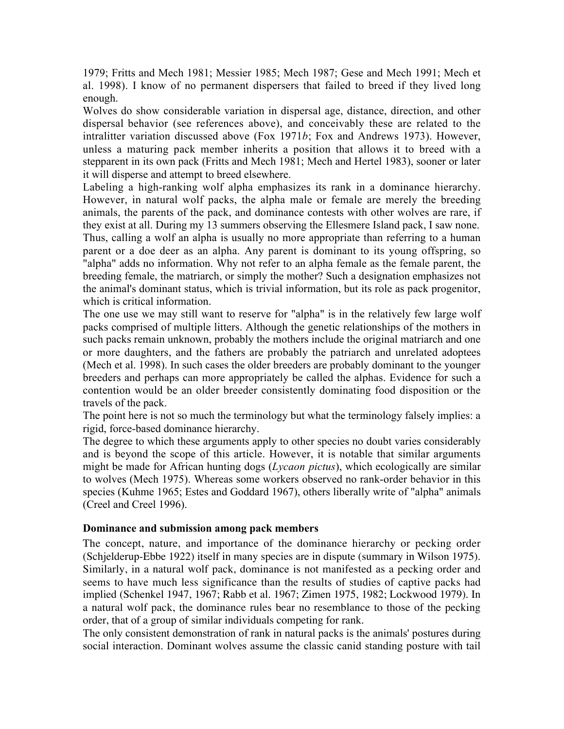1979; Fritts and Mech 1981; Messier 1985; Mech 1987; Gese and Mech 1991; Mech et al. 1998). I know of no permanent dispersers that failed to breed if they lived long enough.

Wolves do show considerable variation in dispersal age, distance, direction, and other dispersal behavior (see references above), and conceivably these are related to the intralitter variation discussed above (Fox 1971*b*; Fox and Andrews 1973). However, unless a maturing pack member inherits a position that allows it to breed with a stepparent in its own pack (Fritts and Mech 1981; Mech and Hertel 1983), sooner or later it will disperse and attempt to breed elsewhere.

Labeling a high-ranking wolf alpha emphasizes its rank in a dominance hierarchy. However, in natural wolf packs, the alpha male or female are merely the breeding animals, the parents of the pack, and dominance contests with other wolves are rare, if they exist at all. During my 13 summers observing the Ellesmere Island pack, I saw none. Thus, calling a wolf an alpha is usually no more appropriate than referring to a human parent or a doe deer as an alpha. Any parent is dominant to its young offspring, so "alpha" adds no information. Why not refer to an alpha female as the female parent, the breeding female, the matriarch, or simply the mother? Such a designation emphasizes not the animal's dominant status, which is trivial information, but its role as pack progenitor, which is critical information.

The one use we may still want to reserve for "alpha" is in the relatively few large wolf packs comprised of multiple litters. Although the genetic relationships of the mothers in such packs remain unknown, probably the mothers include the original matriarch and one or more daughters, and the fathers are probably the patriarch and unrelated adoptees (Mech et al. 1998). In such cases the older breeders are probably dominant to the younger breeders and perhaps can more appropriately be called the alphas. Evidence for such a contention would be an older breeder consistently dominating food disposition or the travels of the pack.

The point here is not so much the terminology but what the terminology falsely implies: a rigid, force-based dominance hierarchy.

The degree to which these arguments apply to other species no doubt varies considerably and is beyond the scope of this article. However, it is notable that similar arguments might be made for African hunting dogs (*Lycaon pictus*), which ecologically are similar to wolves (Mech 1975). Whereas some workers observed no rank-order behavior in this species (Kuhme 1965; Estes and Goddard 1967), others liberally write of "alpha" animals (Creel and Creel 1996).

### **Dominance and submission among pack members**

The concept, nature, and importance of the dominance hierarchy or pecking order (Schjelderup-Ebbe 1922) itself in many species are in dispute (summary in Wilson 1975). Similarly, in a natural wolf pack, dominance is not manifested as a pecking order and seems to have much less significance than the results of studies of captive packs had implied (Schenkel 1947, 1967; Rabb et al. 1967; Zimen 1975, 1982; Lockwood 1979). In a natural wolf pack, the dominance rules bear no resemblance to those of the pecking order, that of a group of similar individuals competing for rank.

The only consistent demonstration of rank in natural packs is the animals' postures during social interaction. Dominant wolves assume the classic canid standing posture with tail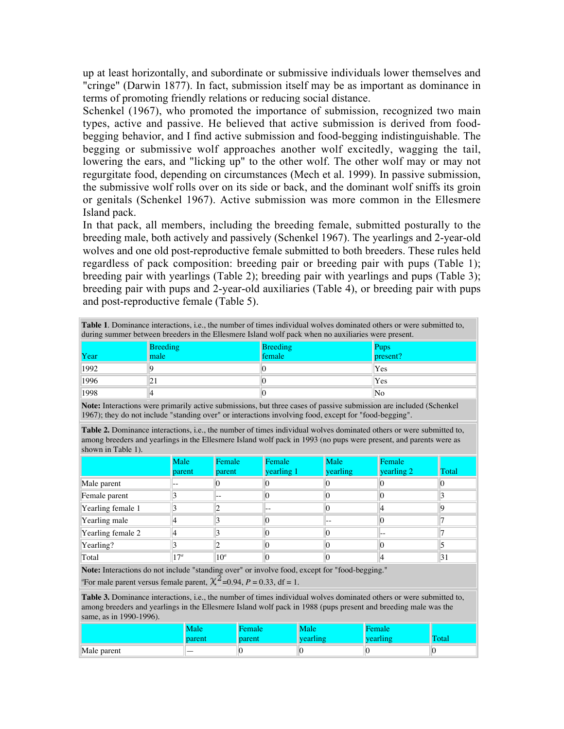up at least horizontally, and subordinate or submissive individuals lower themselves and "cringe" (Darwin 1877). In fact, submission itself may be as important as dominance in terms of promoting friendly relations or reducing social distance.

Schenkel (1967), who promoted the importance of submission, recognized two main types, active and passive. He believed that active submission is derived from foodbegging behavior, and I find active submission and food-begging indistinguishable. The begging or submissive wolf approaches another wolf excitedly, wagging the tail, lowering the ears, and "licking up" to the other wolf. The other wolf may or may not regurgitate food, depending on circumstances (Mech et al. 1999). In passive submission, the submissive wolf rolls over on its side or back, and the dominant wolf sniffs its groin or genitals (Schenkel 1967). Active submission was more common in the Ellesmere Island pack.

In that pack, all members, including the breeding female, submitted posturally to the breeding male, both actively and passively (Schenkel 1967). The yearlings and 2-year-old wolves and one old post-reproductive female submitted to both breeders. These rules held regardless of pack composition: breeding pair or breeding pair with pups (Table 1); breeding pair with yearlings (Table 2); breeding pair with yearlings and pups (Table 3); breeding pair with pups and 2-year-old auxiliaries (Table 4), or breeding pair with pups and post-reproductive female (Table 5).

| <b>Table 1.</b> Dominance interactions, i.e., the number of times individual wolves dominated others or were submitted to,<br>during summer between breeders in the Ellesmere Island wolf pack when no auxiliaries were present. |      |        |          |  |  |
|----------------------------------------------------------------------------------------------------------------------------------------------------------------------------------------------------------------------------------|------|--------|----------|--|--|
| <b>Breeding</b><br><b>Breeding</b><br><b>Pups</b>                                                                                                                                                                                |      |        |          |  |  |
| Year                                                                                                                                                                                                                             | male | female | present? |  |  |
| 1992                                                                                                                                                                                                                             |      |        | Yes      |  |  |
| 1996                                                                                                                                                                                                                             |      |        | Yes      |  |  |
| 1998                                                                                                                                                                                                                             |      |        | No       |  |  |

**Note:** Interactions were primarily active submissions, but three cases of passive submission are included (Schenkel 1967); they do not include "standing over" or interactions involving food, except for "food-begging".

**Table 2.** Dominance interactions, i.e., the number of times individual wolves dominated others or were submitted to, among breeders and yearlings in the Ellesmere Island wolf pack in 1993 (no pups were present, and parents were as shown in Table 1).

|                   | Male<br>parent | Female<br>parent | Female<br>yearling 1 | Male<br>yearling | Female<br>yearling 2 | Total |
|-------------------|----------------|------------------|----------------------|------------------|----------------------|-------|
| Male parent       |                |                  |                      | 0                |                      |       |
| Female parent     |                | --               |                      | 0                |                      |       |
| Yearling female 1 |                |                  |                      | 0                |                      |       |
| Yearling male     |                |                  |                      | $- -$            |                      |       |
| Yearling female 2 |                |                  |                      | 0                | --                   |       |
| Yearling?         |                |                  |                      | 0                |                      |       |
| Total             | $17^a$         | $10^a$           |                      | $\left( \right)$ |                      | 31    |

**Note:** Interactions do not include "standing over" or involve food, except for "food-begging."

<sup>a</sup>For male parent versus female parent,  $\chi^2$ =0.94, *P* = 0.33, df = 1.

**Table 3.** Dominance interactions, i.e., the number of times individual wolves dominated others or were submitted to, among breeders and yearlings in the Ellesmere Island wolf pack in 1988 (pups present and breeding male was the same, as in 1990-1996).

|             | ιαιτ<br>parent | Female<br>parent | Male | emale<br>vearling | Total |
|-------------|----------------|------------------|------|-------------------|-------|
| Male parent | __             |                  |      | N                 |       |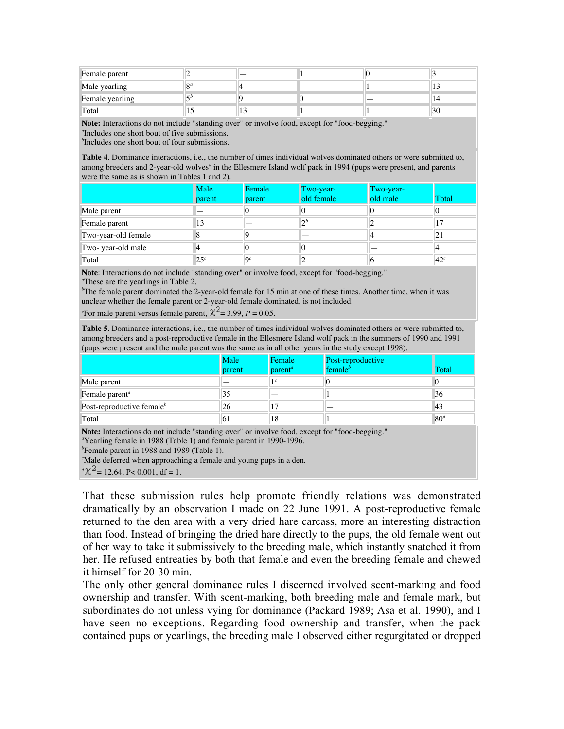| Female parent   |            |     |  |    |
|-----------------|------------|-----|--|----|
| Male yearling   | $\Omega$   |     |  |    |
| Female yearling | $\epsilon$ |     |  |    |
| Total           |            | ن د |  | 30 |

**Note:** Interactions do not include "standing over" or involve food, except for "food-begging."

*a* Includes one short bout of five submissions.

*b* Includes one short bout of four submissions.

**Table 4**. Dominance interactions, i.e., the number of times individual wolves dominated others or were submitted to, among breeders and 2-year-old wolves<sup>*a*</sup> in the Ellesmere Island wolf pack in 1994 (pups were present, and parents were the same as is shown in Tables 1 and 2).

|                     | Male<br>parent | Female<br>parent | Two-year-<br>old female | Two-year-<br>old male | Total           |
|---------------------|----------------|------------------|-------------------------|-----------------------|-----------------|
| Male parent         |                |                  |                         |                       |                 |
| Female parent       | 13             |                  | $\bigcap b$             |                       |                 |
| Two-year-old female |                |                  |                         |                       | 21              |
| Two-year-old male   |                |                  |                         |                       |                 |
| Total               | $25^{\circ}$   | $\Omega^c$       |                         | O                     | 42 <sup>c</sup> |

**Note**: Interactions do not include "standing over" or involve food, except for "food-begging."

*a* These are the yearlings in Table 2.

*b* The female parent dominated the 2-year-old female for 15 min at one of these times. Another time, when it was unclear whether the female parent or 2-year-old female dominated, is not included.

*c*For male parent versus female parent,  $\chi^2 = 3.99$ ,  $P = 0.05$ .

**Table 5.** Dominance interactions, i.e., the number of times individual wolves dominated others or were submitted to, among breeders and a post-reproductive female in the Ellesmere Island wolf pack in the summers of 1990 and 1991 (pups were present and the male parent was the same as in all other years in the study except 1998).

|                                                                                                                                          | Male<br>parent | Female<br>$\mathbf{parent}^a$ | Post-reproductive<br>female $\theta$ | Total           |
|------------------------------------------------------------------------------------------------------------------------------------------|----------------|-------------------------------|--------------------------------------|-----------------|
| Male parent                                                                                                                              |                |                               |                                      |                 |
| Female parent <sup>a</sup>                                                                                                               | 35             |                               |                                      | 36              |
| Post-reproductive female <sup>b</sup>                                                                                                    | 26             |                               |                                      | 43              |
| Total                                                                                                                                    | 61             | 18                            |                                      | 80 <sup>d</sup> |
| $\mathbf{M}$ , and the state $\mathbf{M}$ , and $\mathbf{M}$ , and $\mathbf{M}$ , and $\mathbf{M}$ , and $\mathbf{M}$ , and $\mathbf{M}$ |                |                               |                                      |                 |

Note: Interactions do not include "standing over" or involve food, except for "food-begging." *a* Yearling female in 1988 (Table 1) and female parent in 1990-1996.

*b* Female parent in 1988 and 1989 (Table 1).

*c* Male deferred when approaching a female and young pups in a den.

 $d\chi^2$  = 12.64, P< 0.001, df = 1.

That these submission rules help promote friendly relations was demonstrated dramatically by an observation I made on 22 June 1991. A post-reproductive female returned to the den area with a very dried hare carcass, more an interesting distraction than food. Instead of bringing the dried hare directly to the pups, the old female went out of her way to take it submissively to the breeding male, which instantly snatched it from her. He refused entreaties by both that female and even the breeding female and chewed it himself for 20-30 min.

The only other general dominance rules I discerned involved scent-marking and food ownership and transfer. With scent-marking, both breeding male and female mark, but subordinates do not unless vying for dominance (Packard 1989; Asa et al. 1990), and I have seen no exceptions. Regarding food ownership and transfer, when the pack contained pups or yearlings, the breeding male I observed either regurgitated or dropped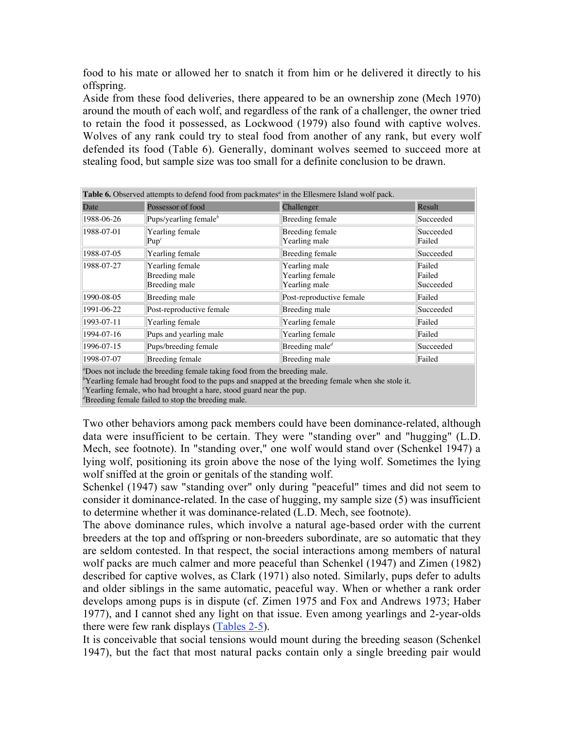food to his mate or allowed her to snatch it from him or he delivered it directly to his offspring.

Aside from these food deliveries, there appeared to be an ownership zone (Mech 1970) around the mouth of each wolf, and regardless of the rank of a challenger, the owner tried to retain the food it possessed, as Lockwood (1979) also found with captive wolves. Wolves of any rank could try to steal food from another of any rank, but every wolf defended its food (Table 6). Generally, dominant wolves seemed to succeed more at stealing food, but sample size was too small for a definite conclusion to be drawn.

| Table 6. Observed attempts to defend food from packmates <sup>a</sup> in the Ellesmere Island wolf pack. |                                                   |                                                   |                               |  |  |
|----------------------------------------------------------------------------------------------------------|---------------------------------------------------|---------------------------------------------------|-------------------------------|--|--|
| Date                                                                                                     | Possessor of food                                 | Challenger                                        | Result                        |  |  |
| 1988-06-26                                                                                               | Pups/yearling female $^b$                         | Breeding female                                   | Succeeded                     |  |  |
| 1988-07-01                                                                                               | Yearling female<br>Pup <sup>c</sup>               | Breeding female<br>Yearling male                  | Succeeded<br>Failed           |  |  |
| 1988-07-05                                                                                               | Yearling female                                   | Breeding female                                   | Succeeded                     |  |  |
| 1988-07-27                                                                                               | Yearling female<br>Breeding male<br>Breeding male | Yearling male<br>Yearling female<br>Yearling male | Failed<br>Failed<br>Succeeded |  |  |
| 1990-08-05                                                                                               | Breeding male                                     | Post-reproductive female                          | Failed                        |  |  |
| 1991-06-22                                                                                               | Post-reproductive female                          | Breeding male                                     | Succeeded                     |  |  |
| 1993-07-11                                                                                               | Yearling female                                   | Yearling female                                   | Failed                        |  |  |
| 1994-07-16                                                                                               | Pups and yearling male                            | Yearling female                                   | Failed                        |  |  |
| 1996-07-15                                                                                               | Pups/breeding female                              | Breeding male <sup><math>d</math></sup>           | Succeeded                     |  |  |
| 1998-07-07                                                                                               | Breeding female                                   | Breeding male                                     | Failed                        |  |  |

*a* Does not include the breeding female taking food from the breeding male.

*b* Yearling female had brought food to the pups and snapped at the breeding female when she stole it.

*c* Yearling female, who had brought a hare, stood guard near the pup.

*d* Breeding female failed to stop the breeding male.

Two other behaviors among pack members could have been dominance-related, although data were insufficient to be certain. They were "standing over" and "hugging" (L.D. Mech, see footnote). In "standing over," one wolf would stand over (Schenkel 1947) a lying wolf, positioning its groin above the nose of the lying wolf. Sometimes the lying wolf sniffed at the groin or genitals of the standing wolf.

Schenkel (1947) saw "standing over" only during "peaceful" times and did not seem to consider it dominance-related. In the case of hugging, my sample size (5) was insufficient to determine whether it was dominance-related (L.D. Mech, see footnote).

The above dominance rules, which involve a natural age-based order with the current breeders at the top and offspring or non-breeders subordinate, are so automatic that they are seldom contested. In that respect, the social interactions among members of natural wolf packs are much calmer and more peaceful than Schenkel (1947) and Zimen (1982) described for captive wolves, as Clark (1971) also noted. Similarly, pups defer to adults and older siblings in the same automatic, peaceful way. When or whether a rank order develops among pups is in dispute (cf. Zimen 1975 and Fox and Andrews 1973; Haber 1977), and I cannot shed any light on that issue. Even among yearlings and 2-year-olds there were few rank displays (Tables 2-5).

It is conceivable that social tensions would mount during the breeding season (Schenkel 1947), but the fact that most natural packs contain only a single breeding pair would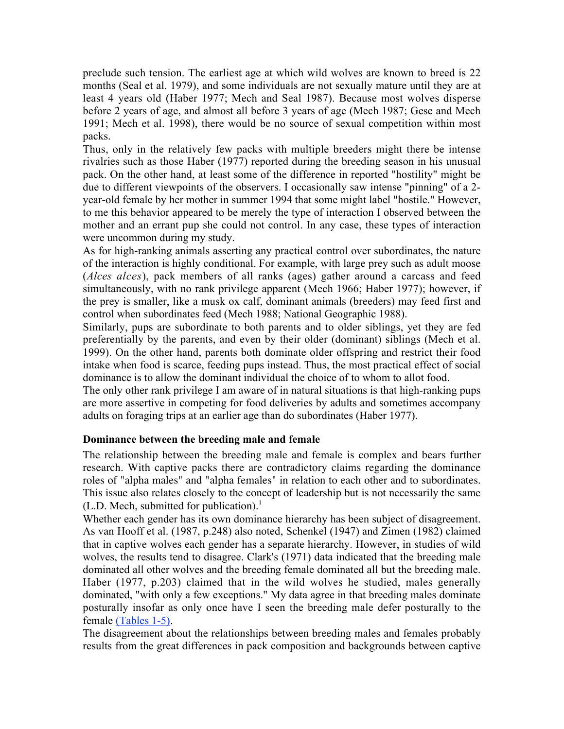preclude such tension. The earliest age at which wild wolves are known to breed is 22 months (Seal et al. 1979), and some individuals are not sexually mature until they are at least 4 years old (Haber 1977; Mech and Seal 1987). Because most wolves disperse before 2 years of age, and almost all before 3 years of age (Mech 1987; Gese and Mech 1991; Mech et al. 1998), there would be no source of sexual competition within most packs.

Thus, only in the relatively few packs with multiple breeders might there be intense rivalries such as those Haber (1977) reported during the breeding season in his unusual pack. On the other hand, at least some of the difference in reported "hostility" might be due to different viewpoints of the observers. I occasionally saw intense "pinning" of a 2 year-old female by her mother in summer 1994 that some might label "hostile." However, to me this behavior appeared to be merely the type of interaction I observed between the mother and an errant pup she could not control. In any case, these types of interaction were uncommon during my study.

As for high-ranking animals asserting any practical control over subordinates, the nature of the interaction is highly conditional. For example, with large prey such as adult moose (*Alces alces*), pack members of all ranks (ages) gather around a carcass and feed simultaneously, with no rank privilege apparent (Mech 1966; Haber 1977); however, if the prey is smaller, like a musk ox calf, dominant animals (breeders) may feed first and control when subordinates feed (Mech 1988; National Geographic 1988).

Similarly, pups are subordinate to both parents and to older siblings, yet they are fed preferentially by the parents, and even by their older (dominant) siblings (Mech et al. 1999). On the other hand, parents both dominate older offspring and restrict their food intake when food is scarce, feeding pups instead. Thus, the most practical effect of social dominance is to allow the dominant individual the choice of to whom to allot food.

The only other rank privilege I am aware of in natural situations is that high-ranking pups are more assertive in competing for food deliveries by adults and sometimes accompany adults on foraging trips at an earlier age than do subordinates (Haber 1977).

# **Dominance between the breeding male and female**

The relationship between the breeding male and female is complex and bears further research. With captive packs there are contradictory claims regarding the dominance roles of "alpha males" and "alpha females" in relation to each other and to subordinates. This issue also relates closely to the concept of leadership but is not necessarily the same  $(L.D.$  Mech, submitted for publication).<sup>1</sup>

Whether each gender has its own dominance hierarchy has been subject of disagreement. As van Hooff et al. (1987, p.248) also noted, Schenkel (1947) and Zimen (1982) claimed that in captive wolves each gender has a separate hierarchy. However, in studies of wild wolves, the results tend to disagree. Clark's (1971) data indicated that the breeding male dominated all other wolves and the breeding female dominated all but the breeding male. Haber (1977, p.203) claimed that in the wild wolves he studied, males generally dominated, "with only a few exceptions." My data agree in that breeding males dominate posturally insofar as only once have I seen the breeding male defer posturally to the female (Tables 1-5).

The disagreement about the relationships between breeding males and females probably results from the great differences in pack composition and backgrounds between captive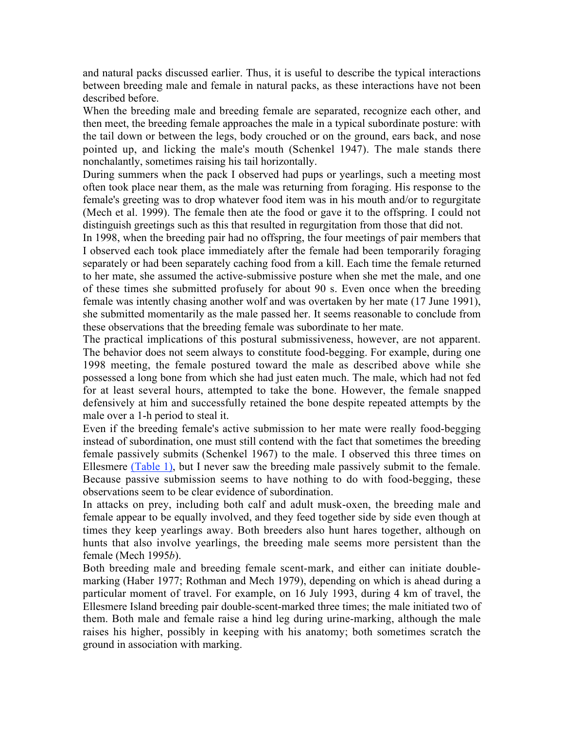and natural packs discussed earlier. Thus, it is useful to describe the typical interactions between breeding male and female in natural packs, as these interactions have not been described before.

When the breeding male and breeding female are separated, recognize each other, and then meet, the breeding female approaches the male in a typical subordinate posture: with the tail down or between the legs, body crouched or on the ground, ears back, and nose pointed up, and licking the male's mouth (Schenkel 1947). The male stands there nonchalantly, sometimes raising his tail horizontally.

During summers when the pack I observed had pups or yearlings, such a meeting most often took place near them, as the male was returning from foraging. His response to the female's greeting was to drop whatever food item was in his mouth and/or to regurgitate (Mech et al. 1999). The female then ate the food or gave it to the offspring. I could not distinguish greetings such as this that resulted in regurgitation from those that did not.

In 1998, when the breeding pair had no offspring, the four meetings of pair members that I observed each took place immediately after the female had been temporarily foraging separately or had been separately caching food from a kill. Each time the female returned to her mate, she assumed the active-submissive posture when she met the male, and one of these times she submitted profusely for about 90 s. Even once when the breeding female was intently chasing another wolf and was overtaken by her mate (17 June 1991), she submitted momentarily as the male passed her. It seems reasonable to conclude from these observations that the breeding female was subordinate to her mate.

The practical implications of this postural submissiveness, however, are not apparent. The behavior does not seem always to constitute food-begging. For example, during one 1998 meeting, the female postured toward the male as described above while she possessed a long bone from which she had just eaten much. The male, which had not fed for at least several hours, attempted to take the bone. However, the female snapped defensively at him and successfully retained the bone despite repeated attempts by the male over a 1-h period to steal it.

Even if the breeding female's active submission to her mate were really food-begging instead of subordination, one must still contend with the fact that sometimes the breeding female passively submits (Schenkel 1967) to the male. I observed this three times on Ellesmere (Table 1), but I never saw the breeding male passively submit to the female. Because passive submission seems to have nothing to do with food-begging, these observations seem to be clear evidence of subordination.

In attacks on prey, including both calf and adult musk-oxen, the breeding male and female appear to be equally involved, and they feed together side by side even though at times they keep yearlings away. Both breeders also hunt hares together, although on hunts that also involve yearlings, the breeding male seems more persistent than the female (Mech 1995*b*).

Both breeding male and breeding female scent-mark, and either can initiate doublemarking (Haber 1977; Rothman and Mech 1979), depending on which is ahead during a particular moment of travel. For example, on 16 July 1993, during 4 km of travel, the Ellesmere Island breeding pair double-scent-marked three times; the male initiated two of them. Both male and female raise a hind leg during urine-marking, although the male raises his higher, possibly in keeping with his anatomy; both sometimes scratch the ground in association with marking.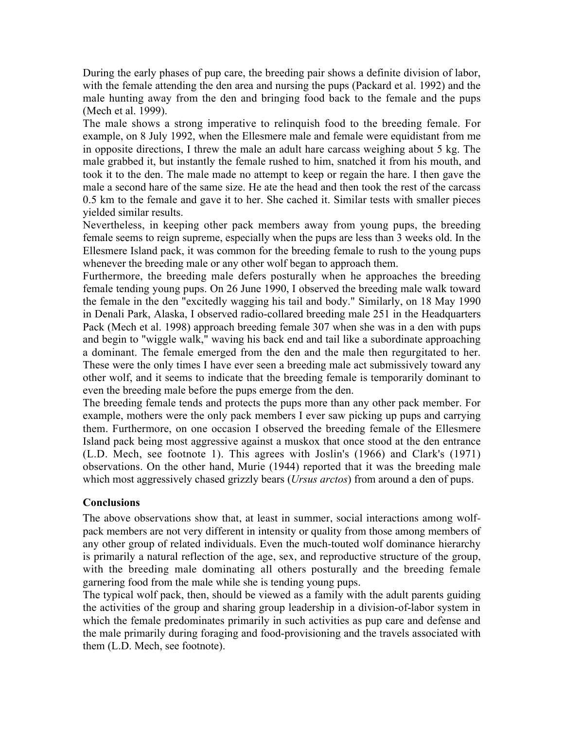During the early phases of pup care, the breeding pair shows a definite division of labor, with the female attending the den area and nursing the pups (Packard et al. 1992) and the male hunting away from the den and bringing food back to the female and the pups (Mech et al. 1999).

The male shows a strong imperative to relinquish food to the breeding female. For example, on 8 July 1992, when the Ellesmere male and female were equidistant from me in opposite directions, I threw the male an adult hare carcass weighing about 5 kg. The male grabbed it, but instantly the female rushed to him, snatched it from his mouth, and took it to the den. The male made no attempt to keep or regain the hare. I then gave the male a second hare of the same size. He ate the head and then took the rest of the carcass 0.5 km to the female and gave it to her. She cached it. Similar tests with smaller pieces yielded similar results.

Nevertheless, in keeping other pack members away from young pups, the breeding female seems to reign supreme, especially when the pups are less than 3 weeks old. In the Ellesmere Island pack, it was common for the breeding female to rush to the young pups whenever the breeding male or any other wolf began to approach them.

Furthermore, the breeding male defers posturally when he approaches the breeding female tending young pups. On 26 June 1990, I observed the breeding male walk toward the female in the den "excitedly wagging his tail and body." Similarly, on 18 May 1990 in Denali Park, Alaska, I observed radio-collared breeding male 251 in the Headquarters Pack (Mech et al. 1998) approach breeding female 307 when she was in a den with pups and begin to "wiggle walk," waving his back end and tail like a subordinate approaching a dominant. The female emerged from the den and the male then regurgitated to her. These were the only times I have ever seen a breeding male act submissively toward any other wolf, and it seems to indicate that the breeding female is temporarily dominant to even the breeding male before the pups emerge from the den.

The breeding female tends and protects the pups more than any other pack member. For example, mothers were the only pack members I ever saw picking up pups and carrying them. Furthermore, on one occasion I observed the breeding female of the Ellesmere Island pack being most aggressive against a muskox that once stood at the den entrance (L.D. Mech, see footnote 1). This agrees with Joslin's (1966) and Clark's (1971) observations. On the other hand, Murie (1944) reported that it was the breeding male which most aggressively chased grizzly bears (*Ursus arctos*) from around a den of pups.

### **Conclusions**

The above observations show that, at least in summer, social interactions among wolfpack members are not very different in intensity or quality from those among members of any other group of related individuals. Even the much-touted wolf dominance hierarchy is primarily a natural reflection of the age, sex, and reproductive structure of the group, with the breeding male dominating all others posturally and the breeding female garnering food from the male while she is tending young pups.

The typical wolf pack, then, should be viewed as a family with the adult parents guiding the activities of the group and sharing group leadership in a division-of-labor system in which the female predominates primarily in such activities as pup care and defense and the male primarily during foraging and food-provisioning and the travels associated with them (L.D. Mech, see footnote).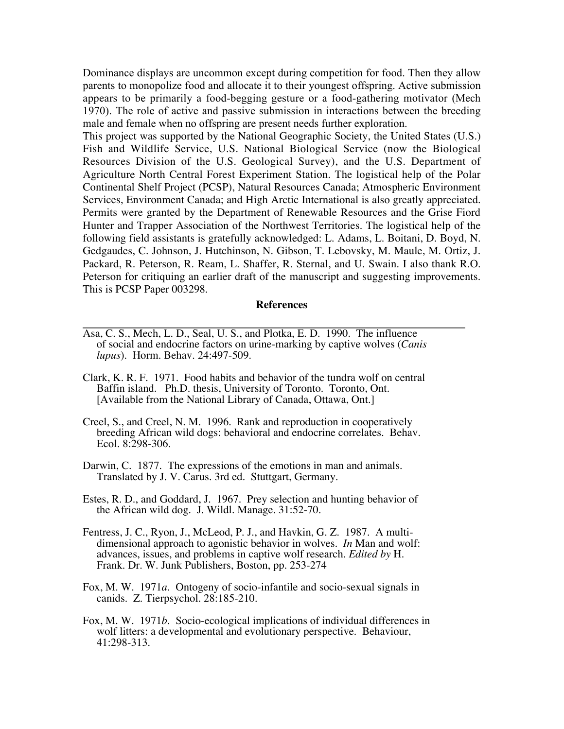Dominance displays are uncommon except during competition for food. Then they allow parents to monopolize food and allocate it to their youngest offspring. Active submission appears to be primarily a food-begging gesture or a food-gathering motivator (Mech 1970). The role of active and passive submission in interactions between the breeding male and female when no offspring are present needs further exploration.

This project was supported by the National Geographic Society, the United States (U.S.) Fish and Wildlife Service, U.S. National Biological Service (now the Biological Resources Division of the U.S. Geological Survey), and the U.S. Department of Agriculture North Central Forest Experiment Station. The logistical help of the Polar Continental Shelf Project (PCSP), Natural Resources Canada; Atmospheric Environment Services, Environment Canada; and High Arctic International is also greatly appreciated. Permits were granted by the Department of Renewable Resources and the Grise Fiord Hunter and Trapper Association of the Northwest Territories. The logistical help of the following field assistants is gratefully acknowledged: L. Adams, L. Boitani, D. Boyd, N. Gedgaudes, C. Johnson, J. Hutchinson, N. Gibson, T. Lebovsky, M. Maule, M. Ortiz, J. Packard, R. Peterson, R. Ream, L. Shaffer, R. Sternal, and U. Swain. I also thank R.O. Peterson for critiquing an earlier draft of the manuscript and suggesting improvements. This is PCSP Paper 003298.

#### **References**

- Asa, C. S., Mech, L. D., Seal, U. S., and Plotka, E. D. 1990. The influence of social and endocrine factors on urine-marking by captive wolves (*Canis lupus*). Horm. Behav. 24:497-509.
- Clark, K. R. F. 1971. Food habits and behavior of the tundra wolf on central Baffin island. Ph.D. thesis, University of Toronto. Toronto, Ont. [Available from the National Library of Canada, Ottawa, Ont.]
- Creel, S., and Creel, N. M. 1996. Rank and reproduction in cooperatively breeding African wild dogs: behavioral and endocrine correlates. Behav. Ecol. 8:298-306.
- Darwin, C. 1877. The expressions of the emotions in man and animals. Translated by J. V. Carus. 3rd ed. Stuttgart, Germany.
- Estes, R. D., and Goddard, J. 1967. Prey selection and hunting behavior of the African wild dog. J. Wildl. Manage. 31:52-70.
- Fentress, J. C., Ryon, J., McLeod, P. J., and Havkin, G. Z. 1987. A multi dimensional approach to agonistic behavior in wolves. *In* Man and wolf: advances, issues, and problems in captive wolf research. *Edited by* H. Frank. Dr. W. Junk Publishers, Boston, pp. 253-274
- Fox, M. W. 1971*a*. Ontogeny of socio-infantile and socio-sexual signals in canids. Z. Tierpsychol. 28:185-210.
- Fox, M. W. 1971*b*. Socio-ecological implications of individual differences in wolf litters: a developmental and evolutionary perspective. Behaviour, 41:298-313.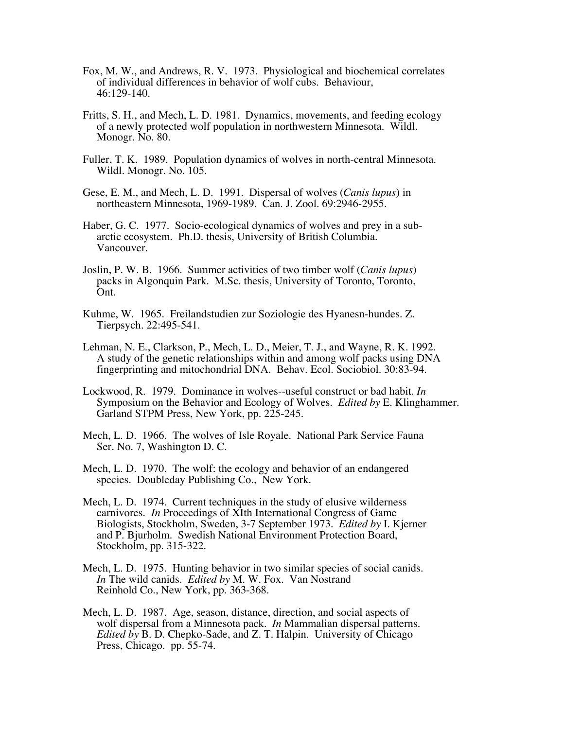- Fox, M. W., and Andrews, R. V. 1973. Physiological and biochemical correlates of individual differences in behavior of wolf cubs. Behaviour, 46:129-140.
- Fritts, S. H., and Mech, L. D. 1981. Dynamics, movements, and feeding ecology of a newly protected wolf population in northwestern Minnesota. Wildl. Monogr. No. 80.
- Fuller, T. K. 1989. Population dynamics of wolves in north-central Minnesota. Wildl. Monogr. No. 105.
- Gese, E. M., and Mech, L. D. 1991. Dispersal of wolves (*Canis lupus*) in northeastern Minnesota, 1969-1989. Can. J. Zool. 69:2946-2955.
- Haber, G. C. 1977. Socio-ecological dynamics of wolves and prey in a sub arctic ecosystem. Ph.D. thesis, University of British Columbia. Vancouver.
- Joslin, P. W. B. 1966. Summer activities of two timber wolf (*Canis lupus*) packs in Algonquin Park. M.Sc. thesis, University of Toronto, Toronto, Ont.
- Kuhme, W. 1965. Freilandstudien zur Soziologie des Hyanesn-hundes. Z. Tierpsych. 22:495-541.
- Lehman, N. E., Clarkson, P., Mech, L. D., Meier, T. J., and Wayne, R. K. 1992. A study of the genetic relationships within and among wolf packs using DNA fingerprinting and mitochondrial DNA. Behav. Ecol. Sociobiol. 30:83-94.
- Lockwood, R. 1979. Dominance in wolves--useful construct or bad habit. *In* Symposium on the Behavior and Ecology of Wolves. *Edited by* E. Klinghammer. Garland STPM Press, New York, pp. 225-245.
- Mech, L. D. 1966. The wolves of Isle Royale. National Park Service Fauna Ser. No. 7, Washington D. C.
- Mech, L. D. 1970. The wolf: the ecology and behavior of an endangered species. Doubleday Publishing Co., New York.
- Mech, L. D. 1974. Current techniques in the study of elusive wilderness carnivores. *In* Proceedings of XIth International Congress of Game Biologists, Stockholm, Sweden, 3-7 September 1973. *Edited by* I. Kjerner and P. Bjurholm. Swedish National Environment Protection Board, Stockholm, pp. 315-322.
- Mech, L. D. 1975. Hunting behavior in two similar species of social canids. *In* The wild canids. *Edited by* M. W. Fox. Van Nostrand Reinhold Co., New York, pp. 363-368.
- Mech, L. D. 1987. Age, season, distance, direction, and social aspects of wolf dispersal from a Minnesota pack. *In* Mammalian dispersal patterns. *Edited by* B. D. Chepko-Sade, and Z. T. Halpin. University of Chicago Press, Chicago. pp. 55-74.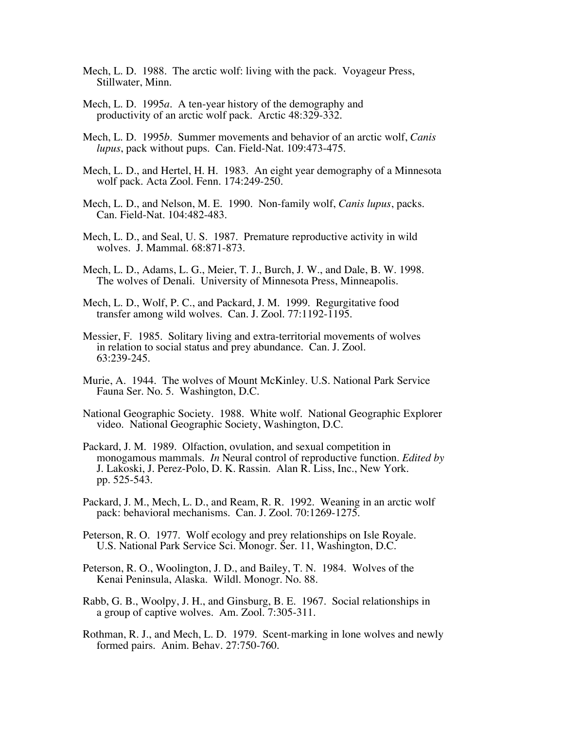- Mech, L. D. 1988. The arctic wolf: living with the pack. Voyageur Press, Stillwater, Minn.
- Mech, L. D. 1995*a*. A ten-year history of the demography and productivity of an arctic wolf pack. Arctic 48:329-332.
- Mech, L. D. 1995*b*. Summer movements and behavior of an arctic wolf, *Canis lupus*, pack without pups. Can. Field-Nat. 109:473-475.
- Mech, L. D., and Hertel, H. H. 1983. An eight year demography of a Minnesota wolf pack. Acta Zool. Fenn. 174:249-250.
- Mech, L. D., and Nelson, M. E. 1990. Non-family wolf, *Canis lupus*, packs. Can. Field-Nat. 104:482-483.
- Mech, L. D., and Seal, U. S. 1987. Premature reproductive activity in wild wolves. J. Mammal. 68:871-873.
- Mech, L. D., Adams, L. G., Meier, T. J., Burch, J. W., and Dale, B. W. 1998. The wolves of Denali. University of Minnesota Press, Minneapolis.
- Mech, L. D., Wolf, P. C., and Packard, J. M. 1999. Regurgitative food transfer among wild wolves. Can. J. Zool. 77:1192-1195.
- Messier, F. 1985. Solitary living and extra-territorial movements of wolves in relation to social status and prey abundance. Can. J. Zool. 63:239-245.
- Murie, A. 1944. The wolves of Mount McKinley. U.S. National Park Service Fauna Ser. No. 5. Washington, D.C.
- National Geographic Society. 1988. White wolf. National Geographic Explorer video. National Geographic Society, Washington, D.C.
- Packard, J. M. 1989. Olfaction, ovulation, and sexual competition in monogamous mammals. *In* Neural control of reproductive function. *Edited by* J. Lakoski, J. Perez-Polo, D. K. Rassin. Alan R. Liss, Inc., New York. pp. 525-543.
- Packard, J. M., Mech, L. D., and Ream, R. R. 1992. Weaning in an arctic wolf pack: behavioral mechanisms. Can. J. Zool. 70:1269-1275.
- Peterson, R. O. 1977. Wolf ecology and prey relationships on Isle Royale. U.S. National Park Service Sci. Monogr. Ser. 11, Washington, D.C.
- Peterson, R. O., Woolington, J. D., and Bailey, T. N. 1984. Wolves of the Kenai Peninsula, Alaska. Wildl. Monogr. No. 88.
- Rabb, G. B., Woolpy, J. H., and Ginsburg, B. E. 1967. Social relationships in a group of captive wolves. Am. Zool. 7:305-311.
- Rothman, R. J., and Mech, L. D. 1979. Scent-marking in lone wolves and newly formed pairs. Anim. Behav. 27:750-760.